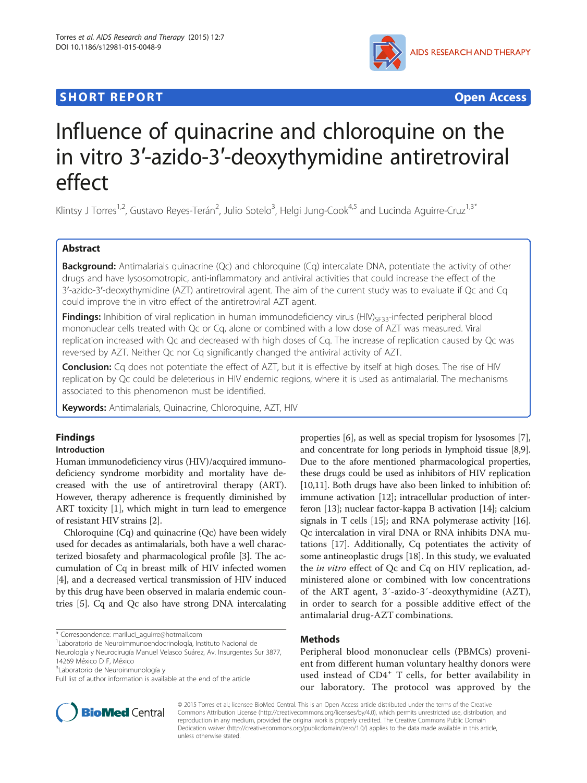## **SHORT REPORT SHORT CONSUMING THE CONSUMING THE CONSUMING THE CONSUMING THE CONSUMING THE CONSUMING THE CONSUMING THE CONSUMING THE CONSUMING THE CONSUMING THE CONSUMING THE CONSUMING THE CONSUMING THE CONSUMING THE CONS**



# Influence of quinacrine and chloroquine on the in vitro 3′-azido-3′-deoxythymidine antiretroviral effect

Klintsy J Torres<sup>1,2</sup>, Gustavo Reyes-Terán<sup>2</sup>, Julio Sotelo<sup>3</sup>, Helgi Jung-Cook<sup>4,5</sup> and Lucinda Aguirre-Cruz<sup>1,3\*</sup>

## Abstract

Background: Antimalarials quinacrine (Qc) and chloroquine (Cq) intercalate DNA, potentiate the activity of other drugs and have lysosomotropic, anti-inflammatory and antiviral activities that could increase the effect of the 3′-azido-3′-deoxythymidine (AZT) antiretroviral agent. The aim of the current study was to evaluate if Qc and Cq could improve the in vitro effect of the antiretroviral AZT agent.

Findings: Inhibition of viral replication in human immunodeficiency virus (HIV)<sub>SF33</sub>-infected peripheral blood mononuclear cells treated with Qc or Cq, alone or combined with a low dose of AZT was measured. Viral replication increased with Qc and decreased with high doses of Cq. The increase of replication caused by Qc was reversed by AZT. Neither Qc nor Cq significantly changed the antiviral activity of AZT.

Conclusion: Cq does not potentiate the effect of AZT, but it is effective by itself at high doses. The rise of HIV replication by Qc could be deleterious in HIV endemic regions, where it is used as antimalarial. The mechanisms associated to this phenomenon must be identified.

Keywords: Antimalarials, Quinacrine, Chloroquine, AZT, HIV

## Findings

## Introduction

Human immunodeficiency virus (HIV)/acquired immunodeficiency syndrome morbidity and mortality have decreased with the use of antiretroviral therapy (ART). However, therapy adherence is frequently diminished by ART toxicity [\[1](#page-3-0)], which might in turn lead to emergence of resistant HIV strains [\[2](#page-3-0)].

Chloroquine (Cq) and quinacrine (Qc) have been widely used for decades as antimalarials, both have a well characterized biosafety and pharmacological profile [[3](#page-3-0)]. The accumulation of Cq in breast milk of HIV infected women [[4\]](#page-3-0), and a decreased vertical transmission of HIV induced by this drug have been observed in malaria endemic countries [[5\]](#page-3-0). Cq and Qc also have strong DNA intercalating

<sup>3</sup>Laboratorio de Neuroinmunología y

Full list of author information is available at the end of the article



properties [\[6\]](#page-3-0), as well as special tropism for lysosomes [[7](#page-3-0)], and concentrate for long periods in lymphoid tissue [[8](#page-3-0),[9](#page-3-0)]. Due to the afore mentioned pharmacological properties, these drugs could be used as inhibitors of HIV replication [[10](#page-3-0),[11](#page-3-0)]. Both drugs have also been linked to inhibition of: immune activation [\[12\]](#page-3-0); intracellular production of interferon [[13\]](#page-3-0); nuclear factor-kappa B activation [\[14](#page-3-0)]; calcium signals in T cells [\[15\]](#page-3-0); and RNA polymerase activity [[16](#page-3-0)]. Qc intercalation in viral DNA or RNA inhibits DNA mutations [[17](#page-3-0)]. Additionally, Cq potentiates the activity of some antineoplastic drugs [[18](#page-3-0)]. In this study, we evaluated the *in vitro* effect of Qc and Cq on HIV replication, administered alone or combined with low concentrations of the ART agent, 3′-azido-3′-deoxythymidine (AZT), in order to search for a possible additive effect of the antimalarial drug-AZT combinations.

## Methods

Peripheral blood mononuclear cells (PBMCs) provenient from different human voluntary healthy donors were used instead of CD4<sup>+</sup> T cells, for better availability in our laboratory. The protocol was approved by the

© 2015 Torres et al.; licensee BioMed Central. This is an Open Access article distributed under the terms of the Creative Commons Attribution License [\(http://creativecommons.org/licenses/by/4.0\)](http://creativecommons.org/licenses/by/4.0), which permits unrestricted use, distribution, and reproduction in any medium, provided the original work is properly credited. The Creative Commons Public Domain Dedication waiver [\(http://creativecommons.org/publicdomain/zero/1.0/](http://creativecommons.org/publicdomain/zero/1.0/)) applies to the data made available in this article, unless otherwise stated.

<sup>\*</sup> Correspondence: [mariluci\\_aguirre@hotmail.com](mailto:mariluci_aguirre@hotmail.com) <sup>1</sup>

Laboratorio de Neuroimmunoendocrinología, Instituto Nacional de

Neurología y Neurocirugía Manuel Velasco Suárez, Av. Insurgentes Sur 3877, 14269 México D F, México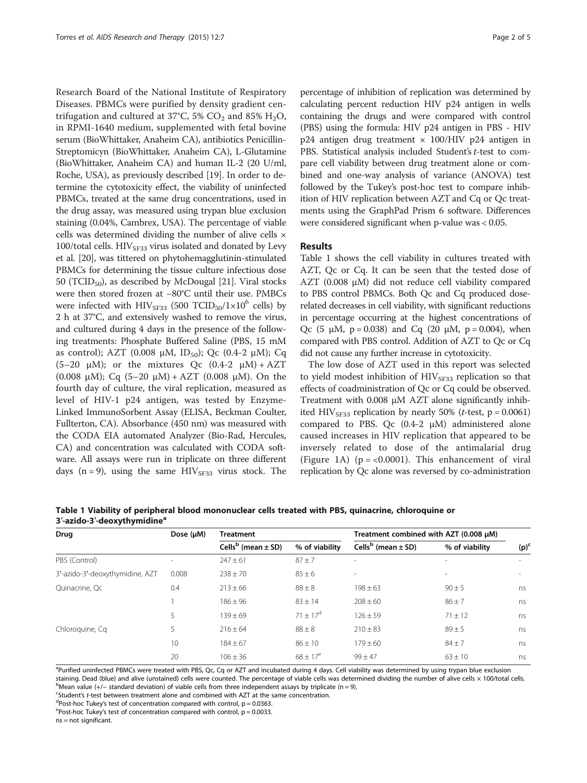Research Board of the National Institute of Respiratory Diseases. PBMCs were purified by density gradient centrifugation and cultured at 37°C, 5%  $CO_2$  and 85% H<sub>2</sub>O, in RPMI-1640 medium, supplemented with fetal bovine serum (BioWhittaker, Anaheim CA), antibiotics Penicillin-Streptomicyn (BioWhittaker, Anaheim CA), L-Glutamine (BioWhittaker, Anaheim CA) and human IL-2 (20 U/ml, Roche, USA), as previously described [\[19](#page-3-0)]. In order to determine the cytotoxicity effect, the viability of uninfected PBMCs, treated at the same drug concentrations, used in the drug assay, was measured using trypan blue exclusion staining (0.04%, Cambrex, USA). The percentage of viable cells was determined dividing the number of alive cells × 100/total cells.  $HIV<sub>SE33</sub>$  virus isolated and donated by Levy et al. [[20](#page-3-0)], was tittered on phytohemagglutinin-stimulated PBMCs for determining the tissue culture infectious dose 50 (TCID<sub>50</sub>), as described by McDougal [[21\]](#page-3-0). Viral stocks were then stored frozen at −80°C until their use. PMBCs were infected with  $HIV<sub>SF33</sub>$  (500 TCID<sub>50</sub>/1×10<sup>6</sup> cells) by 2 h at 37°C, and extensively washed to remove the virus, and cultured during 4 days in the presence of the following treatments: Phosphate Buffered Saline (PBS, 15 mM as control); AZT (0.008 μM, ID<sub>50</sub>); Qc (0.4-2 μM); Cq (5–20  $\mu$ M); or the mixtures Qc (0.4-2  $\mu$ M) + AZT (0.008 μM); Cq (5–20 μM) + AZT (0.008 μM). On the fourth day of culture, the viral replication, measured as level of HIV-1 p24 antigen, was tested by Enzyme-Linked ImmunoSorbent Assay (ELISA, Beckman Coulter, Fullterton, CA). Absorbance (450 nm) was measured with the CODA EIA automated Analyzer (Bio-Rad, Hercules, CA) and concentration was calculated with CODA software. All assays were run in triplicate on three different days (n = 9), using the same  $HIV_{SF33}$  virus stock. The

percentage of inhibition of replication was determined by calculating percent reduction HIV p24 antigen in wells containing the drugs and were compared with control (PBS) using the formula: HIV p24 antigen in PBS - HIV  $p24$  antigen drug treatment  $\times$  100/HIV p24 antigen in PBS. Statistical analysis included Student's t-test to compare cell viability between drug treatment alone or combined and one-way analysis of variance (ANOVA) test followed by the Tukey's post-hoc test to compare inhibition of HIV replication between AZT and Cq or Qc treatments using the GraphPad Prism 6 software. Differences were considered significant when p-value was < 0.05.

#### Results

Table 1 shows the cell viability in cultures treated with AZT, Qc or Cq. It can be seen that the tested dose of AZT (0.008 μM) did not reduce cell viability compared to PBS control PBMCs. Both Qc and Cq produced doserelated decreases in cell viability, with significant reductions in percentage occurring at the highest concentrations of Qc (5  $\mu$ M, p = 0.038) and Cq (20  $\mu$ M, p = 0.004), when compared with PBS control. Addition of AZT to Qc or Cq did not cause any further increase in cytotoxicity.

The low dose of AZT used in this report was selected to yield modest inhibition of HIV<sub>SF33</sub> replication so that effects of coadministration of Qc or Cq could be observed. Treatment with 0.008 μM AZT alone significantly inhibited HIV<sub>SF33</sub> replication by nearly 50% (*t*-test,  $p = 0.0061$ ) compared to PBS. Qc  $(0.4-2)$  μM administered alone caused increases in HIV replication that appeared to be inversely related to dose of the antimalarial drug (Figure [1A](#page-2-0)) ( $p = < 0.0001$ ). This enhancement of viral replication by Qc alone was reversed by co-administration

Table 1 Viability of peripheral blood mononuclear cells treated with PBS, quinacrine, chloroquine or 3'-azido-3'-deoxythymidine<sup>8</sup>

| Drug                            | Dose $(\mu M)$ | <b>Treatment</b>                   |                | Treatment combined with AZT (0.008 µM) |                |         |
|---------------------------------|----------------|------------------------------------|----------------|----------------------------------------|----------------|---------|
|                                 |                | Cells <sup>b</sup> (mean $\pm$ SD) | % of viability | Cells <sup>b</sup> (mean $\pm$ SD)     | % of viability | $(p)^c$ |
| PBS (Control)                   |                | $247 \pm 61$                       | $87 + 7$       | ٠                                      | -              |         |
| 3'-azido-3'-deoxythymidine, AZT | 0.008          | $238 \pm 70$                       | $85 \pm 6$     | ۰                                      | ۰              |         |
| Ouinacrine, Oc                  | 0.4            | $213 \pm 66$                       | $88 \pm 8$     | $198 \pm 63$                           | $90 \pm 5$     | ns      |
|                                 |                | $186 \pm 96$                       | $83 \pm 14$    | $208 \pm 60$                           | $86 \pm 7$     | ns      |
|                                 | 5              | $139 \pm 69$                       | $71 + 17^d$    | $126 \pm 59$                           | $71 \pm 12$    | ns      |
| Chloroquine, Cq                 | 5              | $216 \pm 64$                       | $88 \pm 8$     | $210 \pm 83$                           | $89 + 5$       | ns      |
|                                 | 10             | $184 \pm 67$                       | $86 \pm 10$    | $179 \pm 60$                           | $84 \pm 7$     | ns      |
|                                 | 20             | $106 \pm 36$                       | $68 \pm 17^e$  | $99 \pm 47$                            | $63 \pm 10$    | ns      |

<sup>a</sup>Purified uninfected PBMCs were treated with PBS, Qc, Cq or AZT and incubated during 4 days. Cell viability was determined by using trypan blue exclusion staining. Dead (blue) and alive (unstained) cells were counted. The percentage of viable cells was determined dividing the number of alive cells × 100/total cells.  $b$ Mean value (+/− standard deviation) of viable cells from three independent assays by triplicate (n = 9).

<sup>c</sup>Student's t-test between treatment alone and combined with AZT at the same concentration.

 $d$ Post-hoc Tukey's test of concentration compared with control,  $p = 0.0363$ .

 $e^{\epsilon}$ Post-hoc Tukey's test of concentration compared with control, p = 0.0033.

ns = not significant.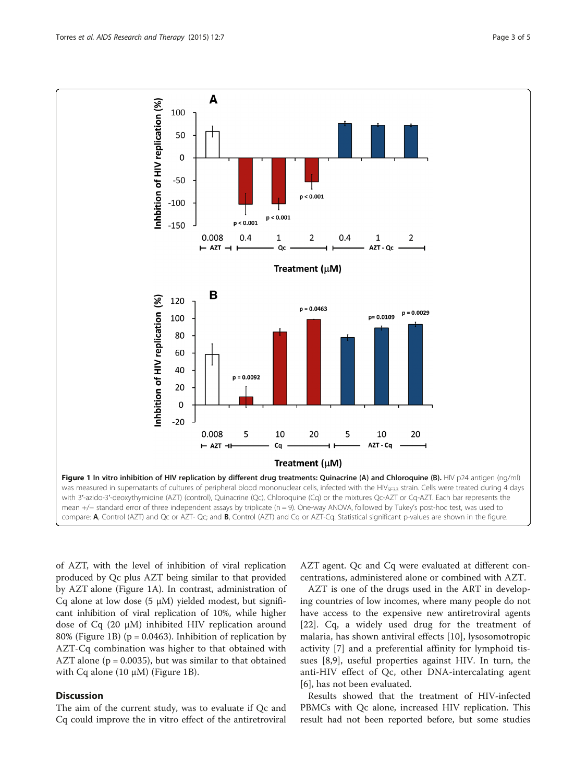<span id="page-2-0"></span>

of AZT, with the level of inhibition of viral replication produced by Qc plus AZT being similar to that provided by AZT alone (Figure 1A). In contrast, administration of Cq alone at low dose  $(5 \mu M)$  yielded modest, but significant inhibition of viral replication of 10%, while higher dose of Cq (20 μM) inhibited HIV replication around 80% (Figure 1B) ( $p = 0.0463$ ). Inhibition of replication by AZT-Cq combination was higher to that obtained with AZT alone ( $p = 0.0035$ ), but was similar to that obtained with Cq alone (10  $\mu$ M) (Figure 1B).

## **Discussion**

The aim of the current study, was to evaluate if Qc and Cq could improve the in vitro effect of the antiretroviral

AZT agent. Qc and Cq were evaluated at different concentrations, administered alone or combined with AZT.

AZT is one of the drugs used in the ART in developing countries of low incomes, where many people do not have access to the expensive new antiretroviral agents [[22\]](#page-3-0). Cq, a widely used drug for the treatment of malaria, has shown antiviral effects [[10\]](#page-3-0), lysosomotropic activity [[7\]](#page-3-0) and a preferential affinity for lymphoid tissues [\[8,9](#page-3-0)], useful properties against HIV. In turn, the anti-HIV effect of Qc, other DNA-intercalating agent [[6\]](#page-3-0), has not been evaluated.

Results showed that the treatment of HIV-infected PBMCs with Qc alone, increased HIV replication. This result had not been reported before, but some studies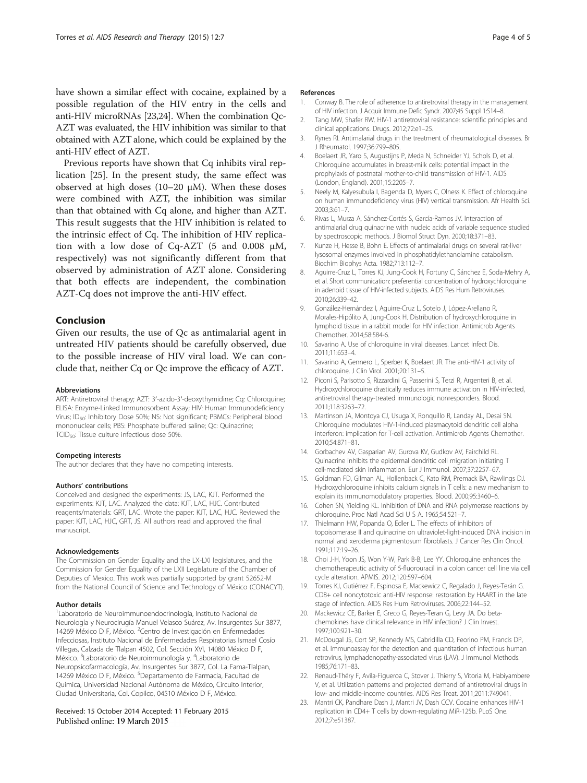<span id="page-3-0"></span>have shown a similar effect with cocaine, explained by a possible regulation of the HIV entry in the cells and anti-HIV microRNAs [23,[24](#page-4-0)]. When the combination Qc-AZT was evaluated, the HIV inhibition was similar to that obtained with AZT alone, which could be explained by the anti-HIV effect of AZT.

Previous reports have shown that Cq inhibits viral replication [\[25](#page-4-0)]. In the present study, the same effect was observed at high doses (10–20  $\mu$ M). When these doses were combined with AZT, the inhibition was similar than that obtained with Cq alone, and higher than AZT. This result suggests that the HIV inhibition is related to the intrinsic effect of Cq. The inhibition of HIV replication with a low dose of Cq-AZT (5 and 0.008 μM, respectively) was not significantly different from that observed by administration of AZT alone. Considering that both effects are independent, the combination AZT-Cq does not improve the anti-HIV effect.

## Conclusion

Given our results, the use of Qc as antimalarial agent in untreated HIV patients should be carefully observed, due to the possible increase of HIV viral load. We can conclude that, neither Cq or Qc improve the efficacy of AZT.

#### Abbreviations

ART: Antiretroviral therapy; AZT: 3′-azido-3′-deoxythymidine; Cq: Chloroquine; ELISA: Enzyme-Linked Immunosorbent Assay; HIV: Human Immunodeficiency Virus; ID50: Inhibitory Dose 50%; NS: Not significant; PBMCs: Peripheral blood mononuclear cells; PBS: Phosphate buffered saline; Qc: Quinacrine; TCID<sub>50</sub>: Tissue culture infectious dose 50%.

#### Competing interests

The author declares that they have no competing interests.

#### Authors' contributions

Conceived and designed the experiments: JS, LAC, KJT. Performed the experiments: KJT, LAC. Analyzed the data: KJT, LAC, HJC. Contributed reagents/materials: GRT, LAC. Wrote the paper: KJT, LAC, HJC. Reviewed the paper: KJT, LAC, HJC, GRT, JS. All authors read and approved the final manuscript.

#### Acknowledgements

The Commission on Gender Equality and the LX-LXI legislatures, and the Commission for Gender Equality of the LXII Legislature of the Chamber of Deputies of Mexico. This work was partially supported by grant 52652-M from the National Council of Science and Technology of México (CONACYT).

#### Author details

1 Laboratorio de Neuroimmunoendocrinología, Instituto Nacional de Neurología y Neurocirugía Manuel Velasco Suárez, Av. Insurgentes Sur 3877, 14269 México D F, México. <sup>2</sup> Centro de Investigación en Enfermedades Infecciosas, Instituto Nacional de Enfermedades Respiratorias Ismael Cosío Villegas, Calzada de Tlalpan 4502, Col. Sección XVI, 14080 México D F, México. <sup>3</sup>Laboratorio de Neuroinmunología y. <sup>4</sup>Laboratorio de Neuropsicofarmacología, Av. Insurgentes Sur 3877, Col. La Fama-Tlalpan, 14269 México D F, México. <sup>5</sup>Departamento de Farmacia, Facultad de Química, Universidad Nacional Autónoma de México, Circuito Interior, Ciudad Universitaria, Col. Copilco, 04510 México D F, México.

#### Received: 15 October 2014 Accepted: 11 February 2015 Published online: 19 March 2015

#### References

- 1. Conway B. The role of adherence to antiretroviral therapy in the management of HIV infection. J Acquir Immune Defic Syndr. 2007;45 Suppl 1:S14–8.
- 2. Tang MW, Shafer RW. HIV-1 antiretroviral resistance: scientific principles and clinical applications. Drugs. 2012;72:e1–25.
- 3. Rynes RI. Antimalarial drugs in the treatment of rheumatological diseases. Br J Rheumatol. 1997;36:799–805.
- 4. Boelaert JR, Yaro S, Augustijns P, Meda N, Schneider YJ, Schols D, et al. Chloroquine accumulates in breast-milk cells: potential impact in the prophylaxis of postnatal mother-to-child transmission of HIV-1. AIDS (London, England). 2001;15:2205–7.
- 5. Neely M, Kalyesubula I, Bagenda D, Myers C, Olness K. Effect of chloroquine on human immunodeficiency virus (HIV) vertical transmission. Afr Health Sci. 2003;3:61–7.
- 6. Rivas L, Murza A, Sánchez-Cortés S, García-Ramos JV. Interaction of antimalarial drug quinacrine with nucleic acids of variable sequence studied by spectroscopic methods. J Biomol Struct Dyn. 2000;18:371–83.
- 7. Kunze H, Hesse B, Bohn E. Effects of antimalarial drugs on several rat-liver lysosomal enzymes involved in phosphatidylethanolamine catabolism. Biochim Biophys Acta. 1982;713:112–7.
- 8. Aguirre-Cruz L, Torres KJ, Jung-Cook H, Fortuny C, Sánchez E, Soda-Mehry A, et al. Short communication: preferential concentration of hydroxychloroquine in adenoid tissue of HIV-infected subjects. AIDS Res Hum Retroviruses. 2010;26:339–42.
- 9. González-Hernández I, Aguirre-Cruz L, Sotelo J, López-Arellano R, Morales-Hipólito A, Jung-Cook H. Distribution of hydroxychloroquine in lymphoid tissue in a rabbit model for HIV infection. Antimicrob Agents Chemother. 2014;58:584-6.
- 10. Savarino A. Use of chloroquine in viral diseases. Lancet Infect Dis. 2011;11:653–4.
- 11. Savarino A, Gennero L, Sperber K, Boelaert JR. The anti-HIV-1 activity of chloroquine. J Clin Virol. 2001;20:131–5.
- 12. Piconi S, Parisotto S, Rizzardini G, Passerini S, Terzi R, Argenteri B, et al. Hydroxychloroquine drastically reduces immune activation in HIV-infected, antiretroviral therapy-treated immunologic nonresponders. Blood. 2011;118:3263–72.
- 13. Martinson JA, Montoya CJ, Usuga X, Ronquillo R, Landay AL, Desai SN. Chloroquine modulates HIV-1-induced plasmacytoid dendritic cell alpha interferon: implication for T-cell activation. Antimicrob Agents Chemother. 2010;54:871–81.
- 14. Gorbachev AV, Gasparian AV, Gurova KV, Gudkov AV, Fairchild RL. Quinacrine inhibits the epidermal dendritic cell migration initiating T cell-mediated skin inflammation. Eur J Immunol. 2007;37:2257–67.
- 15. Goldman FD, Gilman AL, Hollenback C, Kato RM, Premack BA, Rawlings DJ. Hydroxychloroquine inhibits calcium signals in T cells: a new mechanism to explain its immunomodulatory properties. Blood. 2000;95:3460–6.
- 16. Cohen SN, Yielding KL. Inhibition of DNA and RNA polymerase reactions by chloroquine. Proc Natl Acad Sci U S A. 1965;54:521–7.
- 17. Thielmann HW, Popanda O, Edler L. The effects of inhibitors of topoisomerase II and quinacrine on ultraviolet-light-induced DNA incision in normal and xeroderma pigmentosum fibroblasts. J Cancer Res Clin Oncol. 1991;117:19–26.
- 18. Choi J-H, Yoon JS, Won Y-W, Park B-B, Lee YY. Chloroquine enhances the chemotherapeutic activity of 5-fluorouracil in a colon cancer cell line via cell cycle alteration. APMIS. 2012;120:597–604.
- 19. Torres KJ, Gutiérrez F, Espinosa E, Mackewicz C, Regalado J, Reyes-Terán G. CD8+ cell noncytotoxic anti-HIV response: restoration by HAART in the late stage of infection. AIDS Res Hum Retroviruses. 2006;22:144–52.
- 20. Mackewicz CE, Barker E, Greco G, Reyes-Teran G, Levy JA. Do betachemokines have clinical relevance in HIV infection? J Clin Invest. 1997;100:921–30.
- 21. McDougal JS, Cort SP, Kennedy MS, Cabridilla CD, Feorino PM, Francis DP, et al. Immunoassay for the detection and quantitation of infectious human retrovirus, lymphadenopathy-associated virus (LAV). J Immunol Methods. 1985;76:171–83.
- 22. Renaud-Théry F, Avila-Figueroa C, Stover J, Thierry S, Vitoria M, Habiyambere V, et al. Utilization patterns and projected demand of antiretroviral drugs in low- and middle-income countries. AIDS Res Treat. 2011;2011:749041.
- 23. Mantri CK, Pandhare Dash J, Mantri JV, Dash CCV. Cocaine enhances HIV-1 replication in CD4+ T cells by down-regulating MiR-125b. PLoS One. 2012;7:e51387.